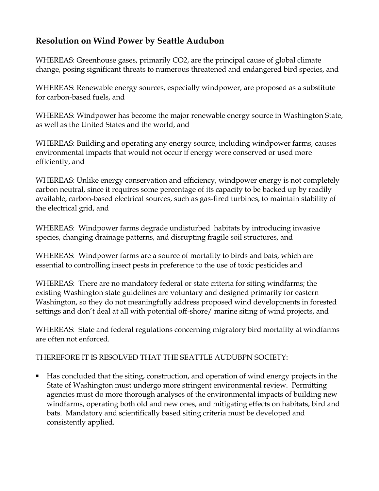## **Resolution on Wind Power by Seattle Audubon**

WHEREAS: Greenhouse gases, primarily CO2, are the principal cause of global climate change, posing significant threats to numerous threatened and endangered bird species, and

WHEREAS: Renewable energy sources, especially windpower, are proposed as a substitute for carbon-based fuels, and

WHEREAS: Windpower has become the major renewable energy source in Washington State, as well as the United States and the world, and

WHEREAS: Building and operating any energy source, including windpower farms, causes environmental impacts that would not occur if energy were conserved or used more efficiently, and

WHEREAS: Unlike energy conservation and efficiency, windpower energy is not completely carbon neutral, since it requires some percentage of its capacity to be backed up by readily available, carbon-based electrical sources, such as gas-fired turbines, to maintain stability of the electrical grid, and

WHEREAS: Windpower farms degrade undisturbed habitats by introducing invasive species, changing drainage patterns, and disrupting fragile soil structures, and

WHEREAS: Windpower farms are a source of mortality to birds and bats, which are essential to controlling insect pests in preference to the use of toxic pesticides and

WHEREAS: There are no mandatory federal or state criteria for siting windfarms; the existing Washington state guidelines are voluntary and designed primarily for eastern Washington, so they do not meaningfully address proposed wind developments in forested settings and don't deal at all with potential off-shore/ marine siting of wind projects, and

WHEREAS: State and federal regulations concerning migratory bird mortality at windfarms are often not enforced.

## THEREFORE IT IS RESOLVED THAT THE SEATTLE AUDUBPN SOCIETY:

■ Has concluded that the siting, construction, and operation of wind energy projects in the State of Washington must undergo more stringent environmental review. Permitting agencies must do more thorough analyses of the environmental impacts of building new windfarms, operating both old and new ones, and mitigating effects on habitats, bird and bats. Mandatory and scientifically based siting criteria must be developed and consistently applied.